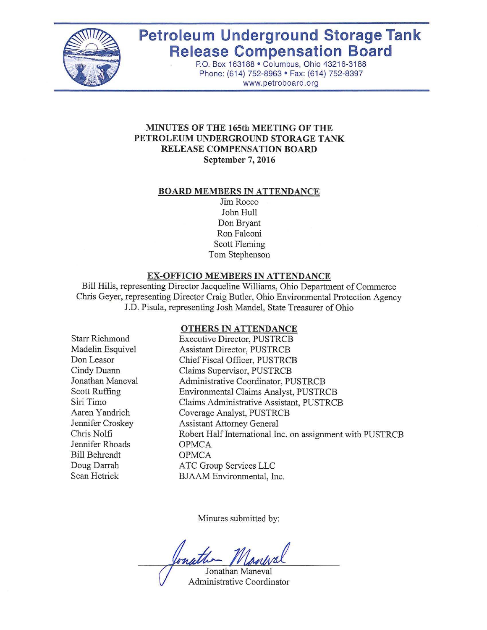

# **Petroleum Underground Storage Tank Release Compensation Board**

P.O. Box 163188 • Columbus, Ohio 43216-3188 Phone: (614) 752-8963 • Fax: (614) 752-8397 www.petroboard.org

#### **MINUTES OF THE 165th MEETING OF THE PETROLEUM UNDERGROUND STORAGE TANK RELEASE COMPENSATION BOARD September 7, 2016**

#### **BOARD MEMBERS IN ATTENDANCE**

Jim Rocco John Hull Don Bryant Ron Falconi Scott Fleming Tom Stephenson

#### **EX-OFFICIO MEMBERS IN ATTENDANCE**

Bill Hills, representing Director Jacqueline Williams, Ohio Department of Commerce Chris Geyer, representing Director Craig Butler, Ohio Environmental Protection Agency J.D. Pisula, representing Josh Mandel, State Treasurer of Ohio

#### **OTHERS IN ATTENDANCE**

Starr Richmond Madelin Esquivel Don Leasor Cindy Duann Jonathan Maneval Scott Ruffing Siri Timo Aaren Yandrich Jennifer Croskey Chris Nolfi Jennifer Rhoads Bill Behrendt Doug Darrah Sean Hetrick

Executive Director, PUSTRCB Assistant Director, PUSTRCB Chief Fiscal Officer, PUSTRCB Claims Supervisor, PUSTRCB Administrative Coordinator, PUSTRCB Environmental Claims Analyst, PUSTRCB Claims Administrative Assistant, PUSTRCB Coverage Analyst, PUSTRCB Assistant Attorney General Robert Half International Inc. on assignment with PUSTRCB OPMCA OPMCA ATC Group Services LLC BJAAM Environmental, Inc.

Minutes submitted by:

Jonathan Maneval Administrative Coordinator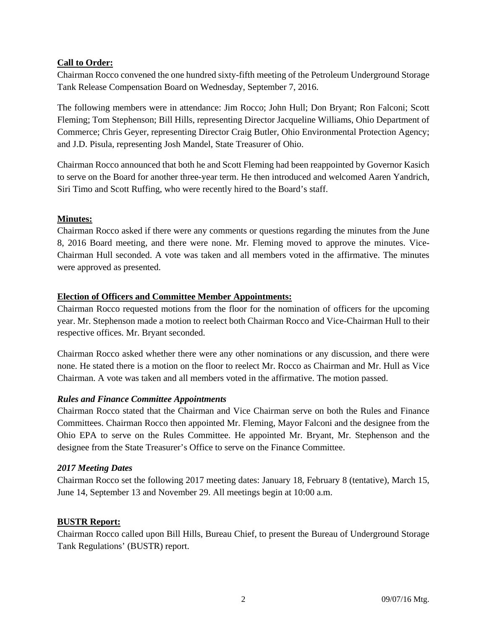## **Call to Order:**

Chairman Rocco convened the one hundred sixty-fifth meeting of the Petroleum Underground Storage Tank Release Compensation Board on Wednesday, September 7, 2016.

The following members were in attendance: Jim Rocco; John Hull; Don Bryant; Ron Falconi; Scott Fleming; Tom Stephenson; Bill Hills, representing Director Jacqueline Williams, Ohio Department of Commerce; Chris Geyer, representing Director Craig Butler, Ohio Environmental Protection Agency; and J.D. Pisula, representing Josh Mandel, State Treasurer of Ohio.

Chairman Rocco announced that both he and Scott Fleming had been reappointed by Governor Kasich to serve on the Board for another three-year term. He then introduced and welcomed Aaren Yandrich, Siri Timo and Scott Ruffing, who were recently hired to the Board's staff.

## **Minutes:**

Chairman Rocco asked if there were any comments or questions regarding the minutes from the June 8, 2016 Board meeting, and there were none. Mr. Fleming moved to approve the minutes. Vice-Chairman Hull seconded. A vote was taken and all members voted in the affirmative. The minutes were approved as presented.

## **Election of Officers and Committee Member Appointments:**

Chairman Rocco requested motions from the floor for the nomination of officers for the upcoming year. Mr. Stephenson made a motion to reelect both Chairman Rocco and Vice-Chairman Hull to their respective offices. Mr. Bryant seconded.

Chairman Rocco asked whether there were any other nominations or any discussion, and there were none. He stated there is a motion on the floor to reelect Mr. Rocco as Chairman and Mr. Hull as Vice Chairman. A vote was taken and all members voted in the affirmative. The motion passed.

## *Rules and Finance Committee Appointments*

Chairman Rocco stated that the Chairman and Vice Chairman serve on both the Rules and Finance Committees. Chairman Rocco then appointed Mr. Fleming, Mayor Falconi and the designee from the Ohio EPA to serve on the Rules Committee. He appointed Mr. Bryant, Mr. Stephenson and the designee from the State Treasurer's Office to serve on the Finance Committee.

## *2017 Meeting Dates*

Chairman Rocco set the following 2017 meeting dates: January 18, February 8 (tentative), March 15, June 14, September 13 and November 29. All meetings begin at 10:00 a.m.

# **BUSTR Report:**

Chairman Rocco called upon Bill Hills, Bureau Chief, to present the Bureau of Underground Storage Tank Regulations' (BUSTR) report.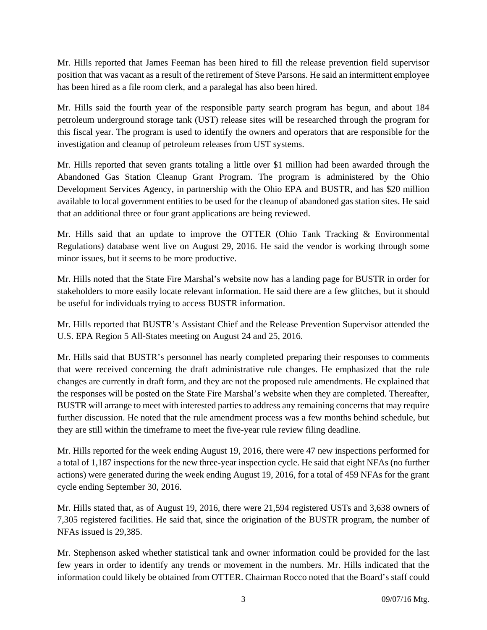Mr. Hills reported that James Feeman has been hired to fill the release prevention field supervisor position that was vacant as a result of the retirement of Steve Parsons. He said an intermittent employee has been hired as a file room clerk, and a paralegal has also been hired.

Mr. Hills said the fourth year of the responsible party search program has begun, and about 184 petroleum underground storage tank (UST) release sites will be researched through the program for this fiscal year. The program is used to identify the owners and operators that are responsible for the investigation and cleanup of petroleum releases from UST systems.

Mr. Hills reported that seven grants totaling a little over \$1 million had been awarded through the Abandoned Gas Station Cleanup Grant Program. The program is administered by the Ohio Development Services Agency, in partnership with the Ohio EPA and BUSTR, and has \$20 million available to local government entities to be used for the cleanup of abandoned gas station sites. He said that an additional three or four grant applications are being reviewed.

Mr. Hills said that an update to improve the OTTER (Ohio Tank Tracking  $\&$  Environmental Regulations) database went live on August 29, 2016. He said the vendor is working through some minor issues, but it seems to be more productive.

Mr. Hills noted that the State Fire Marshal's website now has a landing page for BUSTR in order for stakeholders to more easily locate relevant information. He said there are a few glitches, but it should be useful for individuals trying to access BUSTR information.

Mr. Hills reported that BUSTR's Assistant Chief and the Release Prevention Supervisor attended the U.S. EPA Region 5 All-States meeting on August 24 and 25, 2016.

Mr. Hills said that BUSTR's personnel has nearly completed preparing their responses to comments that were received concerning the draft administrative rule changes. He emphasized that the rule changes are currently in draft form, and they are not the proposed rule amendments. He explained that the responses will be posted on the State Fire Marshal's website when they are completed. Thereafter, BUSTR will arrange to meet with interested parties to address any remaining concerns that may require further discussion. He noted that the rule amendment process was a few months behind schedule, but they are still within the timeframe to meet the five-year rule review filing deadline.

Mr. Hills reported for the week ending August 19, 2016, there were 47 new inspections performed for a total of 1,187 inspections for the new three-year inspection cycle. He said that eight NFAs (no further actions) were generated during the week ending August 19, 2016, for a total of 459 NFAs for the grant cycle ending September 30, 2016.

Mr. Hills stated that, as of August 19, 2016, there were 21,594 registered USTs and 3,638 owners of 7,305 registered facilities. He said that, since the origination of the BUSTR program, the number of NFAs issued is 29,385.

Mr. Stephenson asked whether statistical tank and owner information could be provided for the last few years in order to identify any trends or movement in the numbers. Mr. Hills indicated that the information could likely be obtained from OTTER. Chairman Rocco noted that the Board's staff could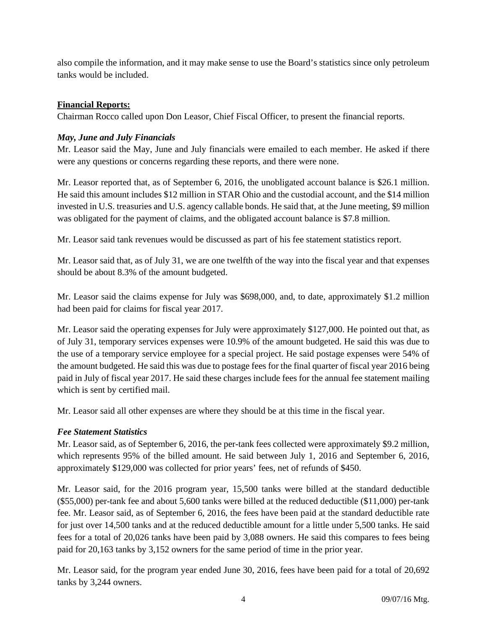also compile the information, and it may make sense to use the Board's statistics since only petroleum tanks would be included.

## **Financial Reports:**

Chairman Rocco called upon Don Leasor, Chief Fiscal Officer, to present the financial reports.

## *May, June and July Financials*

Mr. Leasor said the May, June and July financials were emailed to each member. He asked if there were any questions or concerns regarding these reports, and there were none.

Mr. Leasor reported that, as of September 6, 2016, the unobligated account balance is \$26.1 million. He said this amount includes \$12 million in STAR Ohio and the custodial account, and the \$14 million invested in U.S. treasuries and U.S. agency callable bonds. He said that, at the June meeting, \$9 million was obligated for the payment of claims, and the obligated account balance is \$7.8 million.

Mr. Leasor said tank revenues would be discussed as part of his fee statement statistics report.

Mr. Leasor said that, as of July 31, we are one twelfth of the way into the fiscal year and that expenses should be about 8.3% of the amount budgeted.

Mr. Leasor said the claims expense for July was \$698,000, and, to date, approximately \$1.2 million had been paid for claims for fiscal year 2017.

Mr. Leasor said the operating expenses for July were approximately \$127,000. He pointed out that, as of July 31, temporary services expenses were 10.9% of the amount budgeted. He said this was due to the use of a temporary service employee for a special project. He said postage expenses were 54% of the amount budgeted. He said this was due to postage fees for the final quarter of fiscal year 2016 being paid in July of fiscal year 2017. He said these charges include fees for the annual fee statement mailing which is sent by certified mail.

Mr. Leasor said all other expenses are where they should be at this time in the fiscal year.

# *Fee Statement Statistics*

Mr. Leasor said, as of September 6, 2016, the per-tank fees collected were approximately \$9.2 million, which represents 95% of the billed amount. He said between July 1, 2016 and September 6, 2016, approximately \$129,000 was collected for prior years' fees, net of refunds of \$450.

Mr. Leasor said, for the 2016 program year, 15,500 tanks were billed at the standard deductible (\$55,000) per-tank fee and about 5,600 tanks were billed at the reduced deductible (\$11,000) per-tank fee. Mr. Leasor said, as of September 6, 2016, the fees have been paid at the standard deductible rate for just over 14,500 tanks and at the reduced deductible amount for a little under 5,500 tanks. He said fees for a total of 20,026 tanks have been paid by 3,088 owners. He said this compares to fees being paid for 20,163 tanks by 3,152 owners for the same period of time in the prior year.

Mr. Leasor said, for the program year ended June 30, 2016, fees have been paid for a total of 20,692 tanks by 3,244 owners.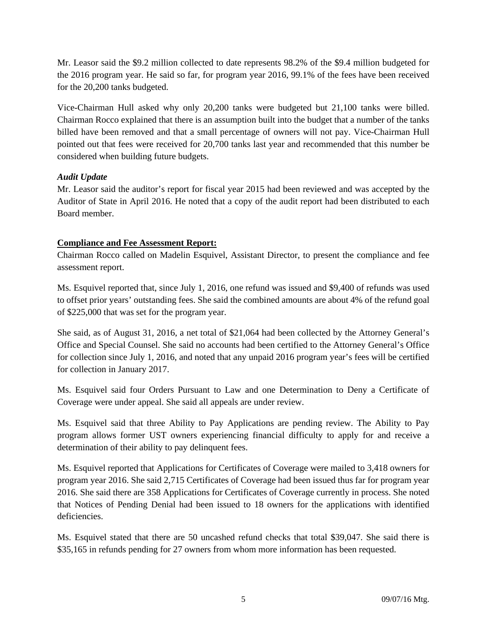Mr. Leasor said the \$9.2 million collected to date represents 98.2% of the \$9.4 million budgeted for the 2016 program year. He said so far, for program year 2016, 99.1% of the fees have been received for the 20,200 tanks budgeted.

Vice-Chairman Hull asked why only 20,200 tanks were budgeted but 21,100 tanks were billed. Chairman Rocco explained that there is an assumption built into the budget that a number of the tanks billed have been removed and that a small percentage of owners will not pay. Vice-Chairman Hull pointed out that fees were received for 20,700 tanks last year and recommended that this number be considered when building future budgets.

## *Audit Update*

Mr. Leasor said the auditor's report for fiscal year 2015 had been reviewed and was accepted by the Auditor of State in April 2016. He noted that a copy of the audit report had been distributed to each Board member.

## **Compliance and Fee Assessment Report:**

Chairman Rocco called on Madelin Esquivel, Assistant Director, to present the compliance and fee assessment report.

Ms. Esquivel reported that, since July 1, 2016, one refund was issued and \$9,400 of refunds was used to offset prior years' outstanding fees. She said the combined amounts are about 4% of the refund goal of \$225,000 that was set for the program year.

She said, as of August 31, 2016, a net total of \$21,064 had been collected by the Attorney General's Office and Special Counsel. She said no accounts had been certified to the Attorney General's Office for collection since July 1, 2016, and noted that any unpaid 2016 program year's fees will be certified for collection in January 2017.

Ms. Esquivel said four Orders Pursuant to Law and one Determination to Deny a Certificate of Coverage were under appeal. She said all appeals are under review.

Ms. Esquivel said that three Ability to Pay Applications are pending review. The Ability to Pay program allows former UST owners experiencing financial difficulty to apply for and receive a determination of their ability to pay delinquent fees.

Ms. Esquivel reported that Applications for Certificates of Coverage were mailed to 3,418 owners for program year 2016. She said 2,715 Certificates of Coverage had been issued thus far for program year 2016. She said there are 358 Applications for Certificates of Coverage currently in process. She noted that Notices of Pending Denial had been issued to 18 owners for the applications with identified deficiencies.

Ms. Esquivel stated that there are 50 uncashed refund checks that total \$39,047. She said there is \$35,165 in refunds pending for 27 owners from whom more information has been requested.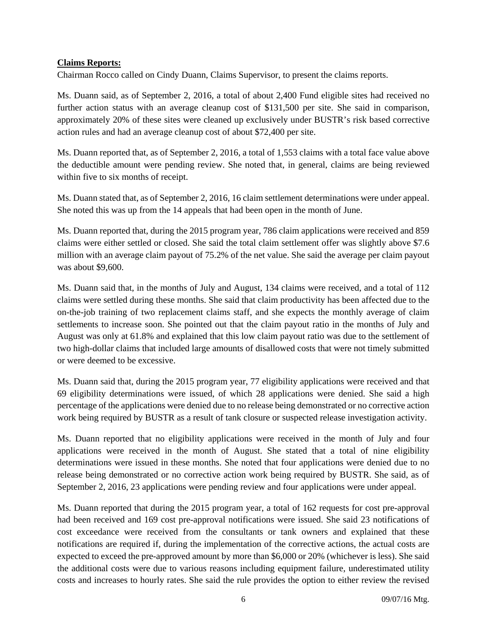## **Claims Reports:**

Chairman Rocco called on Cindy Duann, Claims Supervisor, to present the claims reports.

Ms. Duann said, as of September 2, 2016, a total of about 2,400 Fund eligible sites had received no further action status with an average cleanup cost of \$131,500 per site. She said in comparison, approximately 20% of these sites were cleaned up exclusively under BUSTR's risk based corrective action rules and had an average cleanup cost of about \$72,400 per site.

Ms. Duann reported that, as of September 2, 2016, a total of 1,553 claims with a total face value above the deductible amount were pending review. She noted that, in general, claims are being reviewed within five to six months of receipt.

Ms. Duann stated that, as of September 2, 2016, 16 claim settlement determinations were under appeal. She noted this was up from the 14 appeals that had been open in the month of June.

Ms. Duann reported that, during the 2015 program year, 786 claim applications were received and 859 claims were either settled or closed. She said the total claim settlement offer was slightly above \$7.6 million with an average claim payout of 75.2% of the net value. She said the average per claim payout was about \$9,600.

Ms. Duann said that, in the months of July and August, 134 claims were received, and a total of 112 claims were settled during these months. She said that claim productivity has been affected due to the on-the-job training of two replacement claims staff, and she expects the monthly average of claim settlements to increase soon. She pointed out that the claim payout ratio in the months of July and August was only at 61.8% and explained that this low claim payout ratio was due to the settlement of two high-dollar claims that included large amounts of disallowed costs that were not timely submitted or were deemed to be excessive.

Ms. Duann said that, during the 2015 program year, 77 eligibility applications were received and that 69 eligibility determinations were issued, of which 28 applications were denied. She said a high percentage of the applications were denied due to no release being demonstrated or no corrective action work being required by BUSTR as a result of tank closure or suspected release investigation activity.

Ms. Duann reported that no eligibility applications were received in the month of July and four applications were received in the month of August. She stated that a total of nine eligibility determinations were issued in these months. She noted that four applications were denied due to no release being demonstrated or no corrective action work being required by BUSTR. She said, as of September 2, 2016, 23 applications were pending review and four applications were under appeal.

Ms. Duann reported that during the 2015 program year, a total of 162 requests for cost pre-approval had been received and 169 cost pre-approval notifications were issued. She said 23 notifications of cost exceedance were received from the consultants or tank owners and explained that these notifications are required if, during the implementation of the corrective actions, the actual costs are expected to exceed the pre-approved amount by more than \$6,000 or 20% (whichever is less). She said the additional costs were due to various reasons including equipment failure, underestimated utility costs and increases to hourly rates. She said the rule provides the option to either review the revised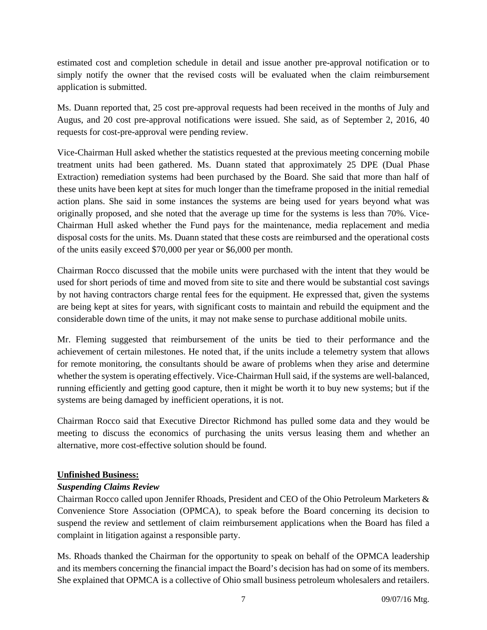estimated cost and completion schedule in detail and issue another pre-approval notification or to simply notify the owner that the revised costs will be evaluated when the claim reimbursement application is submitted.

Ms. Duann reported that, 25 cost pre-approval requests had been received in the months of July and Augus, and 20 cost pre-approval notifications were issued. She said, as of September 2, 2016, 40 requests for cost-pre-approval were pending review.

Vice-Chairman Hull asked whether the statistics requested at the previous meeting concerning mobile treatment units had been gathered. Ms. Duann stated that approximately 25 DPE (Dual Phase Extraction) remediation systems had been purchased by the Board. She said that more than half of these units have been kept at sites for much longer than the timeframe proposed in the initial remedial action plans. She said in some instances the systems are being used for years beyond what was originally proposed, and she noted that the average up time for the systems is less than 70%. Vice-Chairman Hull asked whether the Fund pays for the maintenance, media replacement and media disposal costs for the units. Ms. Duann stated that these costs are reimbursed and the operational costs of the units easily exceed \$70,000 per year or \$6,000 per month.

Chairman Rocco discussed that the mobile units were purchased with the intent that they would be used for short periods of time and moved from site to site and there would be substantial cost savings by not having contractors charge rental fees for the equipment. He expressed that, given the systems are being kept at sites for years, with significant costs to maintain and rebuild the equipment and the considerable down time of the units, it may not make sense to purchase additional mobile units.

Mr. Fleming suggested that reimbursement of the units be tied to their performance and the achievement of certain milestones. He noted that, if the units include a telemetry system that allows for remote monitoring, the consultants should be aware of problems when they arise and determine whether the system is operating effectively. Vice-Chairman Hull said, if the systems are well-balanced, running efficiently and getting good capture, then it might be worth it to buy new systems; but if the systems are being damaged by inefficient operations, it is not.

Chairman Rocco said that Executive Director Richmond has pulled some data and they would be meeting to discuss the economics of purchasing the units versus leasing them and whether an alternative, more cost-effective solution should be found.

## **Unfinished Business:**

## *Suspending Claims Review*

Chairman Rocco called upon Jennifer Rhoads, President and CEO of the Ohio Petroleum Marketers & Convenience Store Association (OPMCA), to speak before the Board concerning its decision to suspend the review and settlement of claim reimbursement applications when the Board has filed a complaint in litigation against a responsible party.

Ms. Rhoads thanked the Chairman for the opportunity to speak on behalf of the OPMCA leadership and its members concerning the financial impact the Board's decision has had on some of its members. She explained that OPMCA is a collective of Ohio small business petroleum wholesalers and retailers.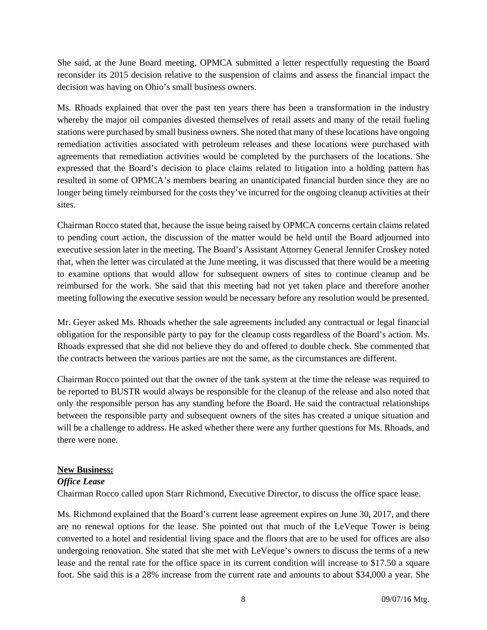She said, at the June Board meeting, OPMCA submitted a letter respectfully requesting the Board reconsider its 2015 decision relative to the suspension of claims and assess the financial impact the decision was having on Ohio's small business owners.

Ms. Rhoads explained that over the past ten years there has been a transformation in the industry whereby the major oil companies divested themselves of retail assets and many of the retail fueling stations were purchased by small business owners. She noted that many of these locations have ongoing remediation activities associated with petroleum releases and these locations were purchased with agreements that remediation activities would be completed by the purchasers of the locations. She expressed that the Board's decision to place claims related to litigation into a holding pattern has resulted in some of OPMCA's members bearing an unanticipated financial burden since they are no longer being timely reimbursed for the costs they've incurred for the ongoing cleanup activities at their sites.

Chairman Rocco stated that, because the issue being raised by OPMCA concerns certain claims related to pending court action, the discussion of the matter would be held until the Board adjourned into executive session later in the meeting. The Board's Assistant Attorney General Jennifer Croskey noted that, when the letter was circulated at the June meeting, it was discussed that there would be a meeting to examine options that would allow for subsequent owners of sites to continue cleanup and be reimbursed for the work. She said that this meeting had not yet taken place and therefore another meeting following the executive session would be necessary before any resolution would be presented.

Mr. Geyer asked Ms. Rhoads whether the sale agreements included any contractual or legal financial obligation for the responsible party to pay for the cleanup costs regardless of the Board's action. Ms. Rhoads expressed that she did not believe they do and offered to double check. She commented that the contracts between the various parties are not the same, as the circumstances are different.

Chairman Rocco pointed out that the owner of the tank system at the time the release was required to be reported to BUSTR would always be responsible for the cleanup of the release and also noted that only the responsible person has any standing before the Board. He said the contractual relationships between the responsible party and subsequent owners of the sites has created a unique situation and will be a challenge to address. He asked whether there were any further questions for Ms. Rhoads, and there were none.

## **New Business:**

## *Office Lease*

Chairman Rocco called upon Starr Richmond, Executive Director, to discuss the office space lease.

Ms. Richmond explained that the Board's current lease agreement expires on June 30, 2017, and there are no renewal options for the lease. She pointed out that much of the LeVeque Tower is being converted to a hotel and residential living space and the floors that are to be used for offices are also undergoing renovation. She stated that she met with LeVeque's owners to discuss the terms of a new lease and the rental rate for the office space in its current condition will increase to \$17.50 a square foot. She said this is a 28% increase from the current rate and amounts to about \$34,000 a year. She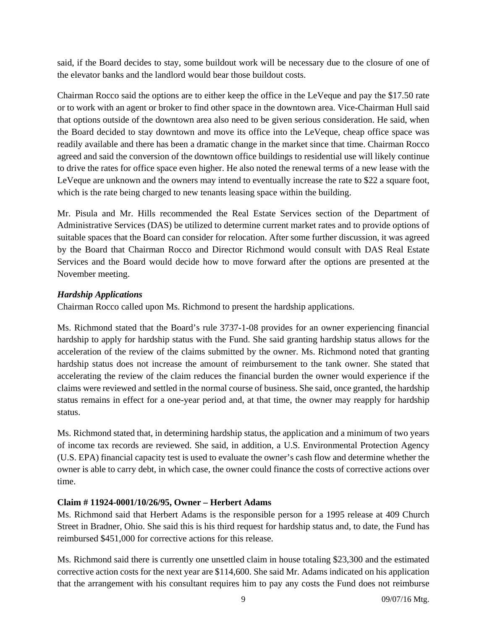said, if the Board decides to stay, some buildout work will be necessary due to the closure of one of the elevator banks and the landlord would bear those buildout costs.

Chairman Rocco said the options are to either keep the office in the LeVeque and pay the \$17.50 rate or to work with an agent or broker to find other space in the downtown area. Vice-Chairman Hull said that options outside of the downtown area also need to be given serious consideration. He said, when the Board decided to stay downtown and move its office into the LeVeque, cheap office space was readily available and there has been a dramatic change in the market since that time. Chairman Rocco agreed and said the conversion of the downtown office buildings to residential use will likely continue to drive the rates for office space even higher. He also noted the renewal terms of a new lease with the LeVeque are unknown and the owners may intend to eventually increase the rate to \$22 a square foot, which is the rate being charged to new tenants leasing space within the building.

Mr. Pisula and Mr. Hills recommended the Real Estate Services section of the Department of Administrative Services (DAS) be utilized to determine current market rates and to provide options of suitable spaces that the Board can consider for relocation. After some further discussion, it was agreed by the Board that Chairman Rocco and Director Richmond would consult with DAS Real Estate Services and the Board would decide how to move forward after the options are presented at the November meeting.

## *Hardship Applications*

Chairman Rocco called upon Ms. Richmond to present the hardship applications.

Ms. Richmond stated that the Board's rule 3737-1-08 provides for an owner experiencing financial hardship to apply for hardship status with the Fund. She said granting hardship status allows for the acceleration of the review of the claims submitted by the owner. Ms. Richmond noted that granting hardship status does not increase the amount of reimbursement to the tank owner. She stated that accelerating the review of the claim reduces the financial burden the owner would experience if the claims were reviewed and settled in the normal course of business. She said, once granted, the hardship status remains in effect for a one-year period and, at that time, the owner may reapply for hardship status.

Ms. Richmond stated that, in determining hardship status, the application and a minimum of two years of income tax records are reviewed. She said, in addition, a U.S. Environmental Protection Agency (U.S. EPA) financial capacity test is used to evaluate the owner's cash flow and determine whether the owner is able to carry debt, in which case, the owner could finance the costs of corrective actions over time.

## **Claim # 11924-0001/10/26/95, Owner – Herbert Adams**

Ms. Richmond said that Herbert Adams is the responsible person for a 1995 release at 409 Church Street in Bradner, Ohio. She said this is his third request for hardship status and, to date, the Fund has reimbursed \$451,000 for corrective actions for this release.

Ms. Richmond said there is currently one unsettled claim in house totaling \$23,300 and the estimated corrective action costs for the next year are \$114,600. She said Mr. Adams indicated on his application that the arrangement with his consultant requires him to pay any costs the Fund does not reimburse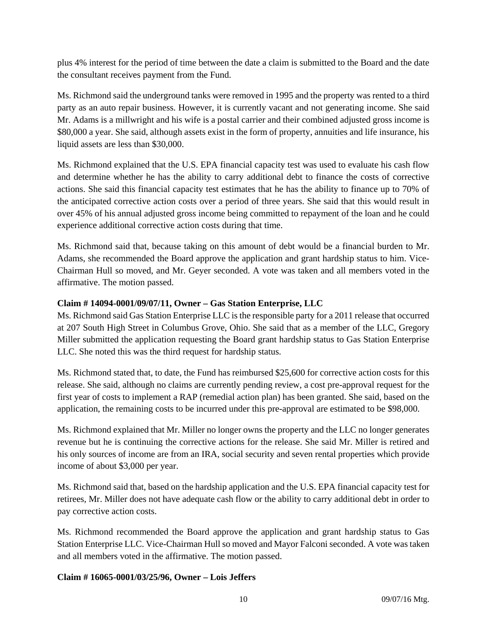plus 4% interest for the period of time between the date a claim is submitted to the Board and the date the consultant receives payment from the Fund.

Ms. Richmond said the underground tanks were removed in 1995 and the property was rented to a third party as an auto repair business. However, it is currently vacant and not generating income. She said Mr. Adams is a millwright and his wife is a postal carrier and their combined adjusted gross income is \$80,000 a year. She said, although assets exist in the form of property, annuities and life insurance, his liquid assets are less than \$30,000.

Ms. Richmond explained that the U.S. EPA financial capacity test was used to evaluate his cash flow and determine whether he has the ability to carry additional debt to finance the costs of corrective actions. She said this financial capacity test estimates that he has the ability to finance up to 70% of the anticipated corrective action costs over a period of three years. She said that this would result in over 45% of his annual adjusted gross income being committed to repayment of the loan and he could experience additional corrective action costs during that time.

Ms. Richmond said that, because taking on this amount of debt would be a financial burden to Mr. Adams, she recommended the Board approve the application and grant hardship status to him. Vice-Chairman Hull so moved, and Mr. Geyer seconded. A vote was taken and all members voted in the affirmative. The motion passed.

## **Claim # 14094-0001/09/07/11, Owner – Gas Station Enterprise, LLC**

Ms. Richmond said Gas Station Enterprise LLC is the responsible party for a 2011 release that occurred at 207 South High Street in Columbus Grove, Ohio. She said that as a member of the LLC, Gregory Miller submitted the application requesting the Board grant hardship status to Gas Station Enterprise LLC. She noted this was the third request for hardship status.

Ms. Richmond stated that, to date, the Fund has reimbursed \$25,600 for corrective action costs for this release. She said, although no claims are currently pending review, a cost pre-approval request for the first year of costs to implement a RAP (remedial action plan) has been granted. She said, based on the application, the remaining costs to be incurred under this pre-approval are estimated to be \$98,000.

Ms. Richmond explained that Mr. Miller no longer owns the property and the LLC no longer generates revenue but he is continuing the corrective actions for the release. She said Mr. Miller is retired and his only sources of income are from an IRA, social security and seven rental properties which provide income of about \$3,000 per year.

Ms. Richmond said that, based on the hardship application and the U.S. EPA financial capacity test for retirees, Mr. Miller does not have adequate cash flow or the ability to carry additional debt in order to pay corrective action costs.

Ms. Richmond recommended the Board approve the application and grant hardship status to Gas Station Enterprise LLC. Vice-Chairman Hull so moved and Mayor Falconi seconded. A vote was taken and all members voted in the affirmative. The motion passed.

## **Claim # 16065-0001/03/25/96, Owner – Lois Jeffers**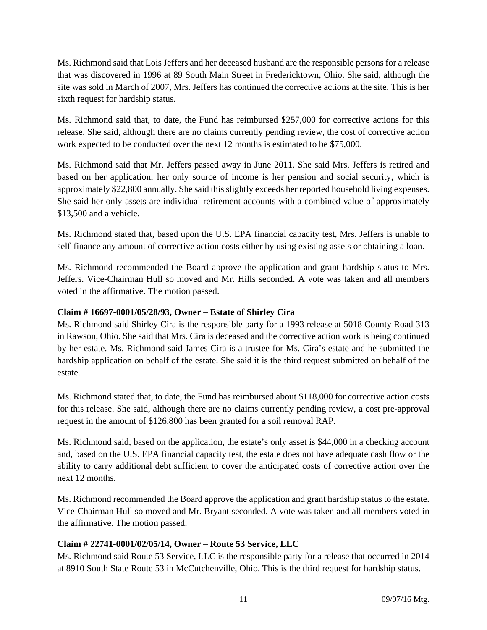Ms. Richmond said that Lois Jeffers and her deceased husband are the responsible persons for a release that was discovered in 1996 at 89 South Main Street in Fredericktown, Ohio. She said, although the site was sold in March of 2007, Mrs. Jeffers has continued the corrective actions at the site. This is her sixth request for hardship status.

Ms. Richmond said that, to date, the Fund has reimbursed \$257,000 for corrective actions for this release. She said, although there are no claims currently pending review, the cost of corrective action work expected to be conducted over the next 12 months is estimated to be \$75,000.

Ms. Richmond said that Mr. Jeffers passed away in June 2011. She said Mrs. Jeffers is retired and based on her application, her only source of income is her pension and social security, which is approximately \$22,800 annually. She said this slightly exceeds her reported household living expenses. She said her only assets are individual retirement accounts with a combined value of approximately \$13,500 and a vehicle.

Ms. Richmond stated that, based upon the U.S. EPA financial capacity test, Mrs. Jeffers is unable to self-finance any amount of corrective action costs either by using existing assets or obtaining a loan.

Ms. Richmond recommended the Board approve the application and grant hardship status to Mrs. Jeffers. Vice-Chairman Hull so moved and Mr. Hills seconded. A vote was taken and all members voted in the affirmative. The motion passed.

## **Claim # 16697-0001/05/28/93, Owner – Estate of Shirley Cira**

Ms. Richmond said Shirley Cira is the responsible party for a 1993 release at 5018 County Road 313 in Rawson, Ohio. She said that Mrs. Cira is deceased and the corrective action work is being continued by her estate. Ms. Richmond said James Cira is a trustee for Ms. Cira's estate and he submitted the hardship application on behalf of the estate. She said it is the third request submitted on behalf of the estate.

Ms. Richmond stated that, to date, the Fund has reimbursed about \$118,000 for corrective action costs for this release. She said, although there are no claims currently pending review, a cost pre-approval request in the amount of \$126,800 has been granted for a soil removal RAP.

Ms. Richmond said, based on the application, the estate's only asset is \$44,000 in a checking account and, based on the U.S. EPA financial capacity test, the estate does not have adequate cash flow or the ability to carry additional debt sufficient to cover the anticipated costs of corrective action over the next 12 months.

Ms. Richmond recommended the Board approve the application and grant hardship status to the estate. Vice-Chairman Hull so moved and Mr. Bryant seconded. A vote was taken and all members voted in the affirmative. The motion passed.

## **Claim # 22741-0001/02/05/14, Owner – Route 53 Service, LLC**

Ms. Richmond said Route 53 Service, LLC is the responsible party for a release that occurred in 2014 at 8910 South State Route 53 in McCutchenville, Ohio. This is the third request for hardship status.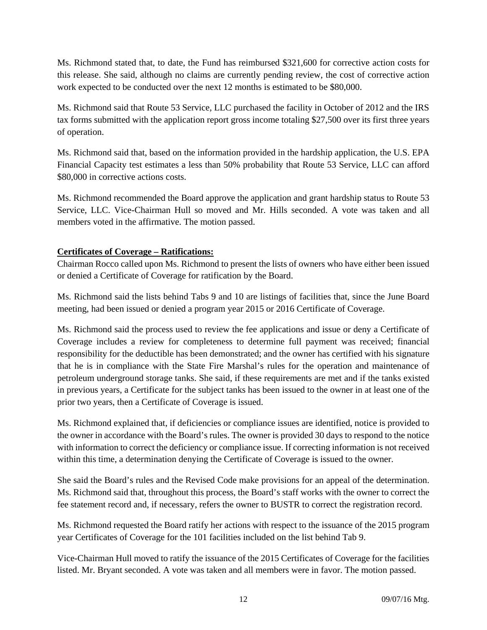Ms. Richmond stated that, to date, the Fund has reimbursed \$321,600 for corrective action costs for this release. She said, although no claims are currently pending review, the cost of corrective action work expected to be conducted over the next 12 months is estimated to be \$80,000.

Ms. Richmond said that Route 53 Service, LLC purchased the facility in October of 2012 and the IRS tax forms submitted with the application report gross income totaling \$27,500 over its first three years of operation.

Ms. Richmond said that, based on the information provided in the hardship application, the U.S. EPA Financial Capacity test estimates a less than 50% probability that Route 53 Service, LLC can afford \$80,000 in corrective actions costs.

Ms. Richmond recommended the Board approve the application and grant hardship status to Route 53 Service, LLC. Vice-Chairman Hull so moved and Mr. Hills seconded. A vote was taken and all members voted in the affirmative. The motion passed.

# **Certificates of Coverage – Ratifications:**

Chairman Rocco called upon Ms. Richmond to present the lists of owners who have either been issued or denied a Certificate of Coverage for ratification by the Board.

Ms. Richmond said the lists behind Tabs 9 and 10 are listings of facilities that, since the June Board meeting, had been issued or denied a program year 2015 or 2016 Certificate of Coverage.

Ms. Richmond said the process used to review the fee applications and issue or deny a Certificate of Coverage includes a review for completeness to determine full payment was received; financial responsibility for the deductible has been demonstrated; and the owner has certified with his signature that he is in compliance with the State Fire Marshal's rules for the operation and maintenance of petroleum underground storage tanks. She said, if these requirements are met and if the tanks existed in previous years, a Certificate for the subject tanks has been issued to the owner in at least one of the prior two years, then a Certificate of Coverage is issued.

Ms. Richmond explained that, if deficiencies or compliance issues are identified, notice is provided to the owner in accordance with the Board's rules. The owner is provided 30 days to respond to the notice with information to correct the deficiency or compliance issue. If correcting information is not received within this time, a determination denying the Certificate of Coverage is issued to the owner.

She said the Board's rules and the Revised Code make provisions for an appeal of the determination. Ms. Richmond said that, throughout this process, the Board's staff works with the owner to correct the fee statement record and, if necessary, refers the owner to BUSTR to correct the registration record.

Ms. Richmond requested the Board ratify her actions with respect to the issuance of the 2015 program year Certificates of Coverage for the 101 facilities included on the list behind Tab 9.

Vice-Chairman Hull moved to ratify the issuance of the 2015 Certificates of Coverage for the facilities listed. Mr. Bryant seconded. A vote was taken and all members were in favor. The motion passed.